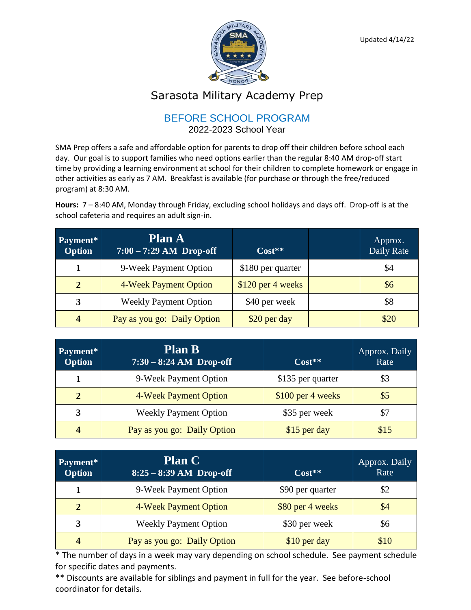

## Sarasota Military Academy Prep

## BEFORE SCHOOL PROGRAM

2022-2023 School Year

SMA Prep offers a safe and affordable option for parents to drop off their children before school each day. Our goal is to support families who need options earlier than the regular 8:40 AM drop-off start time by providing a learning environment at school for their children to complete homework or engage in other activities as early as 7 AM. Breakfast is available (for purchase or through the free/reduced program) at 8:30 AM.

**Hours:** 7 – 8:40 AM, Monday through Friday, excluding school holidays and days off. Drop-off is at the school cafeteria and requires an adult sign-in.

| Payment*<br><b>Option</b> | <b>Plan A</b><br>$7:00 - 7:29$ AM Drop-off | $Cost**$           | Approx.<br>Daily Rate |
|---------------------------|--------------------------------------------|--------------------|-----------------------|
|                           | 9-Week Payment Option                      | \$180 per quarter  | \$4                   |
| $\overline{2}$            | 4-Week Payment Option                      | $$120$ per 4 weeks | \$6                   |
| 3                         | <b>Weekly Payment Option</b>               | \$40 per week      | \$8                   |
| $\overline{\mathbf{4}}$   | Pay as you go: Daily Option                | \$20 per day       | \$20                  |

| Payment*<br><b>Option</b> | <b>Plan B</b><br>$7:30 - 8:24$ AM Drop-off | $Cost**$          | Approx. Daily<br>Rate |
|---------------------------|--------------------------------------------|-------------------|-----------------------|
|                           | 9-Week Payment Option                      | \$135 per quarter | \$3                   |
| 2                         | 4-Week Payment Option                      | \$100 per 4 weeks | $\sqrt{5}$            |
| 3                         | <b>Weekly Payment Option</b>               | \$35 per week     | \$7                   |
| $\boldsymbol{4}$          | Pay as you go: Daily Option                | \$15 per day      | \$15                  |

| Payment*<br><b>Option</b> | <b>Plan C</b><br>$8:25 - 8:39$ AM Drop-off | $Cost**$         | Approx. Daily<br>Rate |
|---------------------------|--------------------------------------------|------------------|-----------------------|
|                           | 9-Week Payment Option                      | \$90 per quarter | \$2                   |
| $\overline{2}$            | 4-Week Payment Option                      | \$80 per 4 weeks | \$4                   |
| 3                         | <b>Weekly Payment Option</b>               | \$30 per week    | \$6                   |
| 4                         | Pay as you go: Daily Option                | \$10 per day     | \$10                  |

\* The number of days in a week may vary depending on school schedule. See payment schedule for specific dates and payments.

\*\* Discounts are available for siblings and payment in full for the year. See before-school coordinator for details.